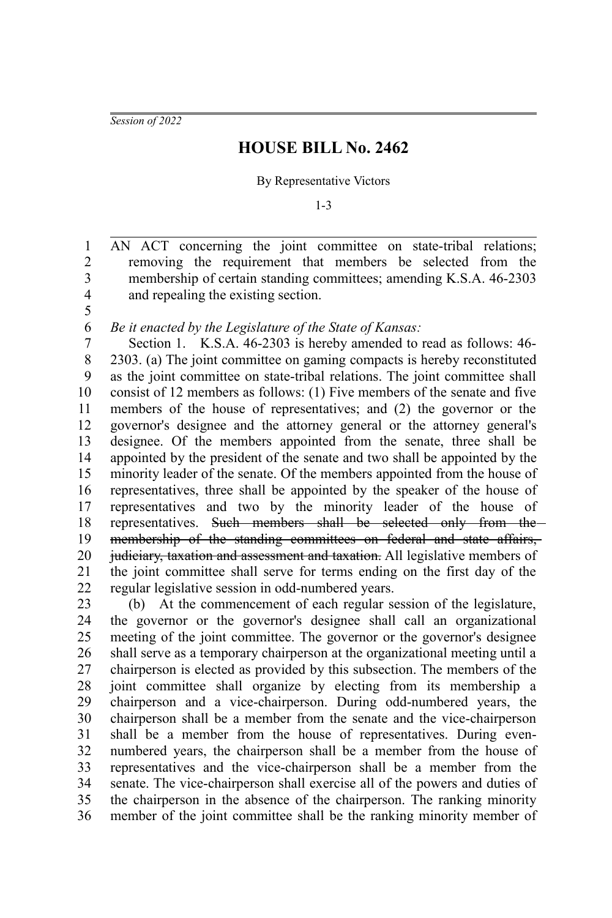*Session of 2022*

5

## **HOUSE BILL No. 2462**

## By Representative Victors

1-3

AN ACT concerning the joint committee on state-tribal relations; removing the requirement that members be selected from the membership of certain standing committees; amending K.S.A. 46-2303 and repealing the existing section. 1 2 3 4

*Be it enacted by the Legislature of the State of Kansas:* 6

Section 1. K.S.A. 46-2303 is hereby amended to read as follows: 46- 2303. (a) The joint committee on gaming compacts is hereby reconstituted as the joint committee on state-tribal relations. The joint committee shall consist of 12 members as follows: (1) Five members of the senate and five members of the house of representatives; and (2) the governor or the governor's designee and the attorney general or the attorney general's designee. Of the members appointed from the senate, three shall be appointed by the president of the senate and two shall be appointed by the minority leader of the senate. Of the members appointed from the house of representatives, three shall be appointed by the speaker of the house of representatives and two by the minority leader of the house of representatives. Such members shall be selected only from the membership of the standing committees on federal and state affairs, judiciary, taxation and assessment and taxation. All legislative members of the joint committee shall serve for terms ending on the first day of the regular legislative session in odd-numbered years. 7 8 9 10 11 12 13 14 15 16 17 18 19 20 21 22

(b) At the commencement of each regular session of the legislature, the governor or the governor's designee shall call an organizational meeting of the joint committee. The governor or the governor's designee shall serve as a temporary chairperson at the organizational meeting until a chairperson is elected as provided by this subsection. The members of the joint committee shall organize by electing from its membership a chairperson and a vice-chairperson. During odd-numbered years, the chairperson shall be a member from the senate and the vice-chairperson shall be a member from the house of representatives. During evennumbered years, the chairperson shall be a member from the house of representatives and the vice-chairperson shall be a member from the senate. The vice-chairperson shall exercise all of the powers and duties of the chairperson in the absence of the chairperson. The ranking minority member of the joint committee shall be the ranking minority member of 23 24 25 26 27 28 29 30 31 32 33 34 35 36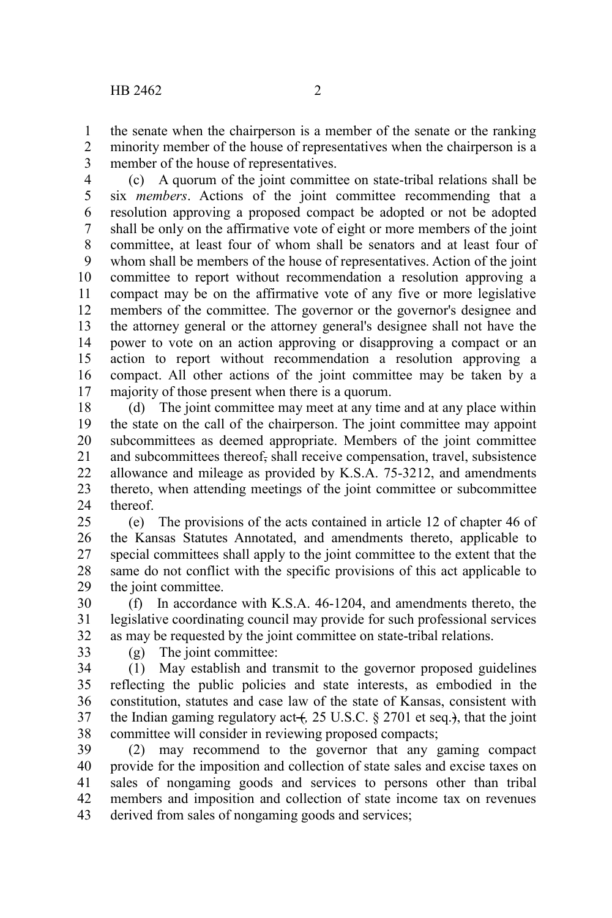the senate when the chairperson is a member of the senate or the ranking minority member of the house of representatives when the chairperson is a member of the house of representatives. 1 2 3

(c) A quorum of the joint committee on state-tribal relations shall be six *members*. Actions of the joint committee recommending that a resolution approving a proposed compact be adopted or not be adopted shall be only on the affirmative vote of eight or more members of the joint committee, at least four of whom shall be senators and at least four of whom shall be members of the house of representatives. Action of the joint committee to report without recommendation a resolution approving a compact may be on the affirmative vote of any five or more legislative members of the committee. The governor or the governor's designee and the attorney general or the attorney general's designee shall not have the power to vote on an action approving or disapproving a compact or an action to report without recommendation a resolution approving a compact. All other actions of the joint committee may be taken by a majority of those present when there is a quorum. 4 5 6 7 8 9 10 11 12 13 14 15 16 17

(d) The joint committee may meet at any time and at any place within the state on the call of the chairperson. The joint committee may appoint subcommittees as deemed appropriate. Members of the joint committee and subcommittees thereof, shall receive compensation, travel, subsistence allowance and mileage as provided by K.S.A. 75-3212, and amendments thereto, when attending meetings of the joint committee or subcommittee thereof. 18 19 20 21 22 23 24

(e) The provisions of the acts contained in article 12 of chapter 46 of the Kansas Statutes Annotated, and amendments thereto, applicable to special committees shall apply to the joint committee to the extent that the same do not conflict with the specific provisions of this act applicable to the joint committee. 25 26 27 28 29

(f) In accordance with K.S.A. 46-1204, and amendments thereto, the legislative coordinating council may provide for such professional services as may be requested by the joint committee on state-tribal relations. 30 31 32

33

(g) The joint committee:

(1) May establish and transmit to the governor proposed guidelines reflecting the public policies and state interests, as embodied in the constitution, statutes and case law of the state of Kansas, consistent with the Indian gaming regulatory act  $($ , 25 U.S.C. § 2701 et seq. $)$ , that the joint committee will consider in reviewing proposed compacts; 34 35 36 37 38

(2) may recommend to the governor that any gaming compact provide for the imposition and collection of state sales and excise taxes on sales of nongaming goods and services to persons other than tribal members and imposition and collection of state income tax on revenues derived from sales of nongaming goods and services; 39 40 41 42 43